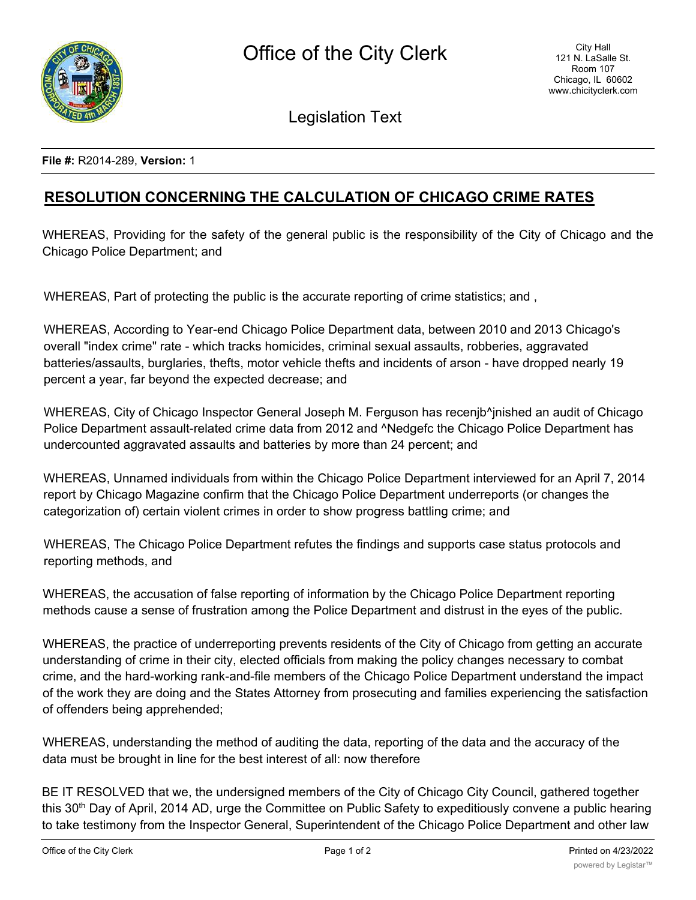

Legislation Text

**File #:** R2014-289, **Version:** 1

## **RESOLUTION CONCERNING THE CALCULATION OF CHICAGO CRIME RATES**

WHEREAS, Providing for the safety of the general public is the responsibility of the City of Chicago and the Chicago Police Department; and

WHEREAS, Part of protecting the public is the accurate reporting of crime statistics; and ,

WHEREAS, According to Year-end Chicago Police Department data, between 2010 and 2013 Chicago's overall "index crime" rate - which tracks homicides, criminal sexual assaults, robberies, aggravated batteries/assaults, burglaries, thefts, motor vehicle thefts and incidents of arson - have dropped nearly 19 percent a year, far beyond the expected decrease; and

WHEREAS, City of Chicago Inspector General Joseph M. Ferguson has recenjb^jnished an audit of Chicago Police Department assault-related crime data from 2012 and ^Nedgefc the Chicago Police Department has undercounted aggravated assaults and batteries by more than 24 percent; and

WHEREAS, Unnamed individuals from within the Chicago Police Department interviewed for an April 7, 2014 report by Chicago Magazine confirm that the Chicago Police Department underreports (or changes the categorization of) certain violent crimes in order to show progress battling crime; and

WHEREAS, The Chicago Police Department refutes the findings and supports case status protocols and reporting methods, and

WHEREAS, the accusation of false reporting of information by the Chicago Police Department reporting methods cause a sense of frustration among the Police Department and distrust in the eyes of the public.

WHEREAS, the practice of underreporting prevents residents of the City of Chicago from getting an accurate understanding of crime in their city, elected officials from making the policy changes necessary to combat crime, and the hard-working rank-and-file members of the Chicago Police Department understand the impact of the work they are doing and the States Attorney from prosecuting and families experiencing the satisfaction of offenders being apprehended;

WHEREAS, understanding the method of auditing the data, reporting of the data and the accuracy of the data must be brought in line for the best interest of all: now therefore

BE IT RESOLVED that we, the undersigned members of the City of Chicago City Council, gathered together this 30th Day of April, 2014 AD, urge the Committee on Public Safety to expeditiously convene a public hearing to take testimony from the Inspector General, Superintendent of the Chicago Police Department and other law